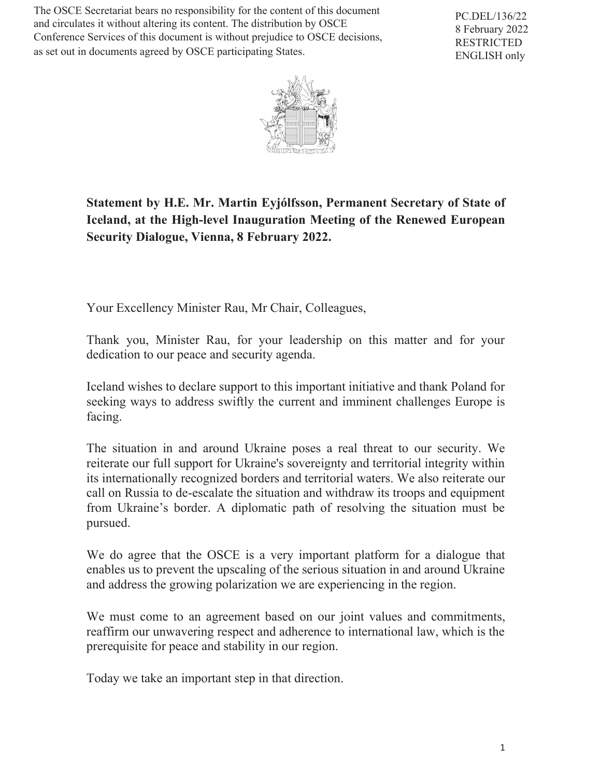The OSCE Secretariat bears no responsibility for the content of this document and circulates it without altering its content. The distribution by OSCE Conference Services of this document is without prejudice to OSCE decisions, as set out in documents agreed by OSCE participating States.

PC.DEL/136/22 8 February 2022 RESTRICTED ENGLISH only



## **Statement by H.E. Mr. Martin Eyjólfsson, Permanent Secretary of State of Iceland, at the High-level Inauguration Meeting of the Renewed European Security Dialogue, Vienna, 8 February 2022.**

Your Excellency Minister Rau, Mr Chair, Colleagues,

Thank you, Minister Rau, for your leadership on this matter and for your dedication to our peace and security agenda.

Iceland wishes to declare support to this important initiative and thank Poland for seeking ways to address swiftly the current and imminent challenges Europe is facing.

The situation in and around Ukraine poses a real threat to our security. We reiterate our full support for Ukraine's sovereignty and territorial integrity within its internationally recognized borders and territorial waters. We also reiterate our call on Russia to de-escalate the situation and withdraw its troops and equipment from Ukraine's border. A diplomatic path of resolving the situation must be pursued.

We do agree that the OSCE is a very important platform for a dialogue that enables us to prevent the upscaling of the serious situation in and around Ukraine and address the growing polarization we are experiencing in the region.

We must come to an agreement based on our joint values and commitments, reaffirm our unwavering respect and adherence to international law, which is the prerequisite for peace and stability in our region.

Today we take an important step in that direction.